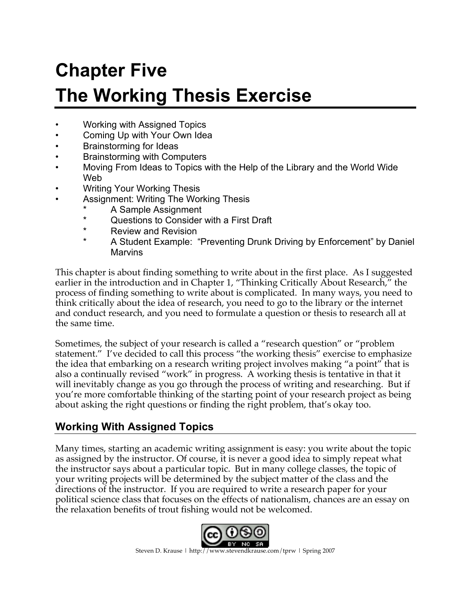# **Chapter Five The Working Thesis Exercise**

- Working with Assigned Topics
- Coming Up with Your Own Idea
- Brainstorming for Ideas
- Brainstorming with Computers
- Moving From Ideas to Topics with the Help of the Library and the World Wide Web
- Writing Your Working Thesis
- Assignment: Writing The Working Thesis
	- \* A Sample Assignment<br>A Cuestions to Consider
	- Questions to Consider with a First Draft
	- \* Review and Revision
	- A Student Example: "Preventing Drunk Driving by Enforcement" by Daniel **Marvins**

This chapter is about finding something to write about in the first place. As I suggested earlier in the introduction and in Chapter 1, "Thinking Critically About Research," the process of finding something to write about is complicated. In many ways, you need to think critically about the idea of research, you need to go to the library or the internet and conduct research, and you need to formulate a question or thesis to research all at the same time.

Sometimes, the subject of your research is called a "research question" or "problem statement." I've decided to call this process "the working thesis" exercise to emphasize the idea that embarking on a research writing project involves making "a point" that is also a continually revised "work" in progress. A working thesis is tentative in that it will inevitably change as you go through the process of writing and researching. But if you're more comfortable thinking of the starting point of your research project as being about asking the right questions or finding the right problem, that's okay too.

# **Working With Assigned Topics**

Many times, starting an academic writing assignment is easy: you write about the topic as assigned by the instructor. Of course, it is never a good idea to simply repeat what the instructor says about a particular topic. But in many college classes, the topic of your writing projects will be determined by the subject matter of the class and the directions of the instructor. If you are required to write a research paper for your political science class that focuses on the effects of nationalism, chances are an essay on the relaxation benefits of trout fishing would not be welcomed.

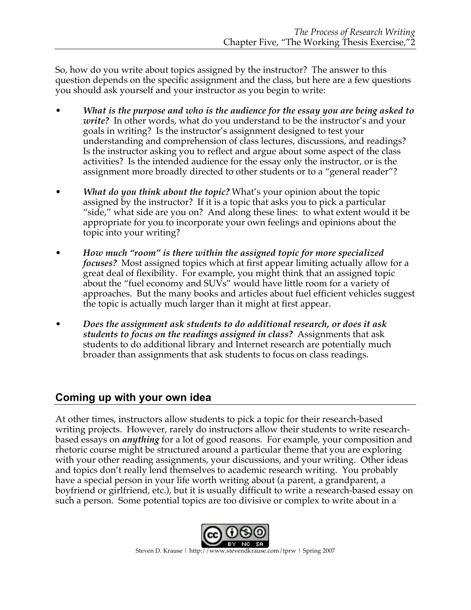So, how do you write about topics assigned by the instructor? The answer to this question depends on the specific assignment and the class, but here are a few questions you should ask yourself and your instructor as you begin to write:

- *What is the purpose and who is the audience for the essay you are being asked to write?* In other words, what do you understand to be the instructor's and your goals in writing? Is the instructor's assignment designed to test your understanding and comprehension of class lectures, discussions, and readings? Is the instructor asking you to reflect and argue about some aspect of the class activities? Is the intended audience for the essay only the instructor, or is the assignment more broadly directed to other students or to a "general reader"?
- *What do you think about the topic?* What's your opinion about the topic assigned by the instructor? If it is a topic that asks you to pick a particular "side," what side are you on? And along these lines: to what extent would it be appropriate for you to incorporate your own feelings and opinions about the topic into your writing?
- *How much "room" is there within the assigned topic for more specialized focuses?* Most assigned topics which at first appear limiting actually allow for a great deal of flexibility. For example, you might think that an assigned topic about the "fuel economy and SUVs" would have little room for a variety of approaches. But the many books and articles about fuel efficient vehicles suggest the topic is actually much larger than it might at first appear.
- *Does the assignment ask students to do additional research, or does it ask students to focus on the readings assigned in class?* Assignments that ask students to do additional library and Internet research are potentially much broader than assignments that ask students to focus on class readings.

# **Coming up with your own idea**

At other times, instructors allow students to pick a topic for their research-based writing projects. However, rarely do instructors allow their students to write researchbased essays on *anything* for a lot of good reasons. For example, your composition and rhetoric course might be structured around a particular theme that you are exploring with your other reading assignments, your discussions, and your writing. Other ideas and topics don't really lend themselves to academic research writing. You probably have a special person in your life worth writing about (a parent, a grandparent, a boyfriend or girlfriend, etc.), but it is usually difficult to write a research-based essay on such a person. Some potential topics are too divisive or complex to write about in a

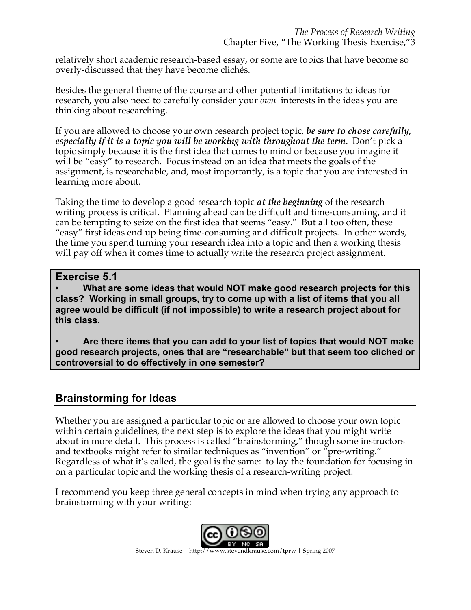relatively short academic research-based essay, or some are topics that have become so overly-discussed that they have become clichés.

Besides the general theme of the course and other potential limitations to ideas for research, you also need to carefully consider your *own* interests in the ideas you are thinking about researching.

If you are allowed to choose your own research project topic, *be sure to chose carefully, especially if it is a topic you will be working with throughout the term*. Don't pick a topic simply because it is the first idea that comes to mind or because you imagine it will be "easy" to research. Focus instead on an idea that meets the goals of the assignment, is researchable, and, most importantly, is a topic that you are interested in learning more about.

Taking the time to develop a good research topic *at the beginning* of the research writing process is critical. Planning ahead can be difficult and time-consuming, and it can be tempting to seize on the first idea that seems "easy." But all too often, these "easy" first ideas end up being time-consuming and difficult projects. In other words, the time you spend turning your research idea into a topic and then a working thesis will pay off when it comes time to actually write the research project assignment.

### **Exercise 5.1**

**• What are some ideas that would NOT make good research projects for this class? Working in small groups, try to come up with a list of items that you all agree would be difficult (if not impossible) to write a research project about for this class.**

**• Are there items that you can add to your list of topics that would NOT make good research projects, ones that are "researchable" but that seem too cliched or controversial to do effectively in one semester?**

## **Brainstorming for Ideas**

Whether you are assigned a particular topic or are allowed to choose your own topic within certain guidelines, the next step is to explore the ideas that you might write about in more detail. This process is called "brainstorming," though some instructors and textbooks might refer to similar techniques as "invention" or "pre-writing." Regardless of what it's called, the goal is the same: to lay the foundation for focusing in on a particular topic and the working thesis of a research-writing project.

I recommend you keep three general concepts in mind when trying any approach to brainstorming with your writing:

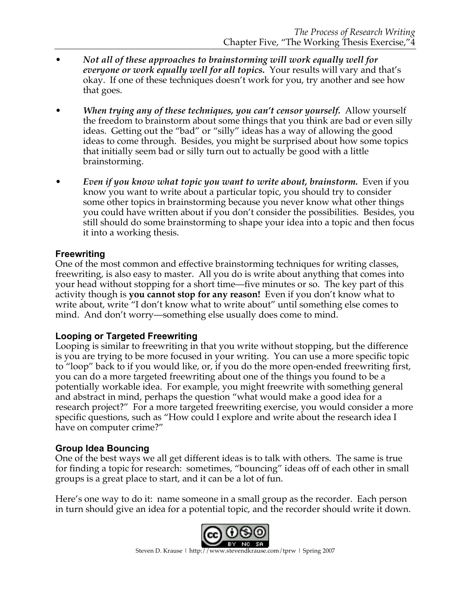- *Not all of these approaches to brainstorming will work equally well for everyone or work equally well for all topics.* Your results will vary and that's okay. If one of these techniques doesn't work for you, try another and see how that goes.
- *When trying any of these techniques, you can't censor yourself.* Allow yourself the freedom to brainstorm about some things that you think are bad or even silly ideas. Getting out the "bad" or "silly" ideas has a way of allowing the good ideas to come through. Besides, you might be surprised about how some topics that initially seem bad or silly turn out to actually be good with a little brainstorming.
- *Even if you know what topic you want to write about, brainstorm.* Even if you know you want to write about a particular topic, you should try to consider some other topics in brainstorming because you never know what other things you could have written about if you don't consider the possibilities. Besides, you still should do some brainstorming to shape your idea into a topic and then focus it into a working thesis.

#### **Freewriting**

One of the most common and effective brainstorming techniques for writing classes, freewriting, is also easy to master. All you do is write about anything that comes into your head without stopping for a short time—five minutes or so. The key part of this activity though is **you cannot stop for any reason!** Even if you don't know what to write about, write "I don't know what to write about" until something else comes to mind. And don't worry—something else usually does come to mind.

#### **Looping or Targeted Freewriting**

Looping is similar to freewriting in that you write without stopping, but the difference is you are trying to be more focused in your writing. You can use a more specific topic to "loop" back to if you would like, or, if you do the more open-ended freewriting first, you can do a more targeted freewriting about one of the things you found to be a potentially workable idea. For example, you might freewrite with something general and abstract in mind, perhaps the question "what would make a good idea for a research project?" For a more targeted freewriting exercise, you would consider a more specific questions, such as "How could I explore and write about the research idea I have on computer crime?"

#### **Group Idea Bouncing**

One of the best ways we all get different ideas is to talk with others. The same is true for finding a topic for research: sometimes, "bouncing" ideas off of each other in small groups is a great place to start, and it can be a lot of fun.

Here's one way to do it: name someone in a small group as the recorder. Each person in turn should give an idea for a potential topic, and the recorder should write it down.

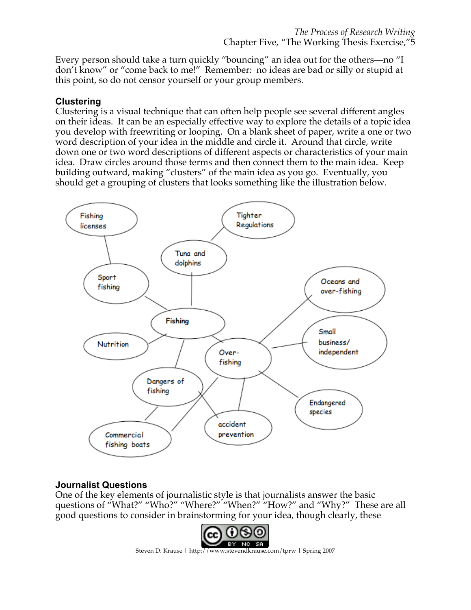Every person should take a turn quickly "bouncing" an idea out for the others—no "I don't know" or "come back to me!" Remember: no ideas are bad or silly or stupid at this point, so do not censor yourself or your group members.

#### **Clustering**

Clustering is a visual technique that can often help people see several different angles on their ideas. It can be an especially effective way to explore the details of a topic idea you develop with freewriting or looping. On a blank sheet of paper, write a one or two word description of your idea in the middle and circle it. Around that circle, write down one or two word descriptions of different aspects or characteristics of your main idea. Draw circles around those terms and then connect them to the main idea. Keep building outward, making "clusters" of the main idea as you go. Eventually, you should get a grouping of clusters that looks something like the illustration below.



## **Journalist Questions**

One of the key elements of journalistic style is that journalists answer the basic questions of "What?" "Who?" "Where?" "When?" "How?" and "Why?" These are all good questions to consider in brainstorming for your idea, though clearly, these

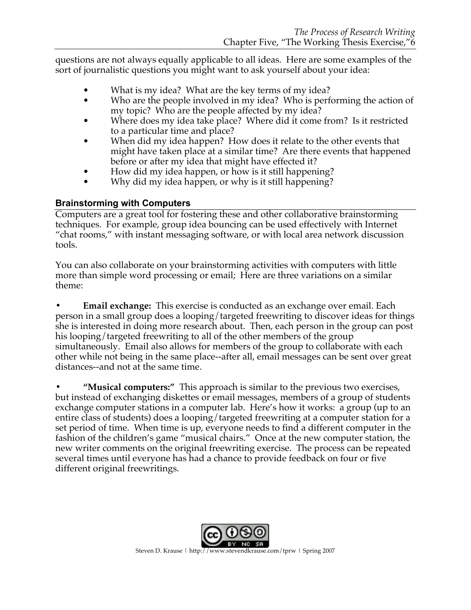questions are not always equally applicable to all ideas. Here are some examples of the sort of journalistic questions you might want to ask yourself about your idea:

- What is my idea? What are the key terms of my idea?
- Who are the people involved in my idea? Who is performing the action of my topic? Who are the people affected by my idea?
- Where does my idea take place? Where did it come from? Is it restricted to a particular time and place?
- When did my idea happen? How does it relate to the other events that might have taken place at a similar time? Are there events that happened before or after my idea that might have effected it?
- How did my idea happen, or how is it still happening?
- Why did my idea happen, or why is it still happening?

## **Brainstorming with Computers**

Computers are a great tool for fostering these and other collaborative brainstorming techniques. For example, group idea bouncing can be used effectively with Internet "chat rooms," with instant messaging software, or with local area network discussion tools.

You can also collaborate on your brainstorming activities with computers with little more than simple word processing or email; Here are three variations on a similar theme:

**• Email exchange:** This exercise is conducted as an exchange over email. Each person in a small group does a looping/targeted freewriting to discover ideas for things she is interested in doing more research about. Then, each person in the group can post his looping/targeted freewriting to all of the other members of the group simultaneously. Email also allows for members of the group to collaborate with each other while not being in the same place--after all, email messages can be sent over great distances--and not at the same time.

**• "Musical computers:"** This approach is similar to the previous two exercises, but instead of exchanging diskettes or email messages, members of a group of students exchange computer stations in a computer lab. Here's how it works: a group (up to an entire class of students) does a looping/targeted freewriting at a computer station for a set period of time. When time is up, everyone needs to find a different computer in the fashion of the children's game "musical chairs." Once at the new computer station, the new writer comments on the original freewriting exercise. The process can be repeated several times until everyone has had a chance to provide feedback on four or five different original freewritings.

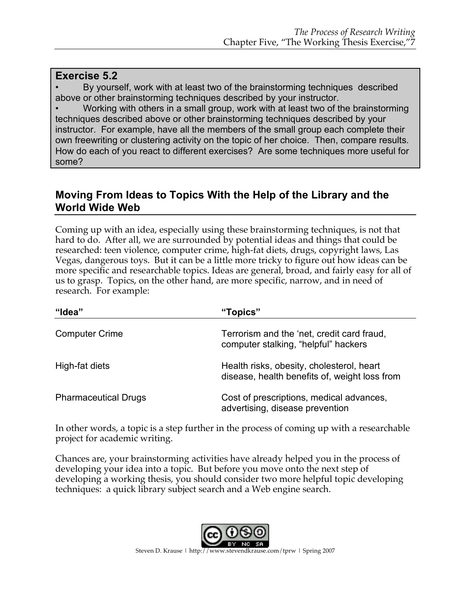#### **Exercise 5.2**

• By yourself, work with at least two of the brainstorming techniques described above or other brainstorming techniques described by your instructor.

• Working with others in a small group, work with at least two of the brainstorming techniques described above or other brainstorming techniques described by your instructor. For example, have all the members of the small group each complete their own freewriting or clustering activity on the topic of her choice. Then, compare results. How do each of you react to different exercises? Are some techniques more useful for some?

## **Moving From Ideas to Topics With the Help of the Library and the World Wide Web**

Coming up with an idea, especially using these brainstorming techniques, is not that hard to do. After all, we are surrounded by potential ideas and things that could be researched: teen violence, computer crime, high-fat diets, drugs, copyright laws, Las Vegas, dangerous toys. But it can be a little more tricky to figure out how ideas can be more specific and researchable topics. Ideas are general, broad, and fairly easy for all of us to grasp. Topics, on the other hand, are more specific, narrow, and in need of research. For example:

| "Idea"                      | "Topics"                                                                                   |
|-----------------------------|--------------------------------------------------------------------------------------------|
| <b>Computer Crime</b>       | Terrorism and the 'net, credit card fraud,<br>computer stalking, "helpful" hackers         |
| High-fat diets              | Health risks, obesity, cholesterol, heart<br>disease, health benefits of, weight loss from |
| <b>Pharmaceutical Drugs</b> | Cost of prescriptions, medical advances,<br>advertising, disease prevention                |

In other words, a topic is a step further in the process of coming up with a researchable project for academic writing.

Chances are, your brainstorming activities have already helped you in the process of developing your idea into a topic. But before you move onto the next step of developing a working thesis, you should consider two more helpful topic developing techniques: a quick library subject search and a Web engine search.

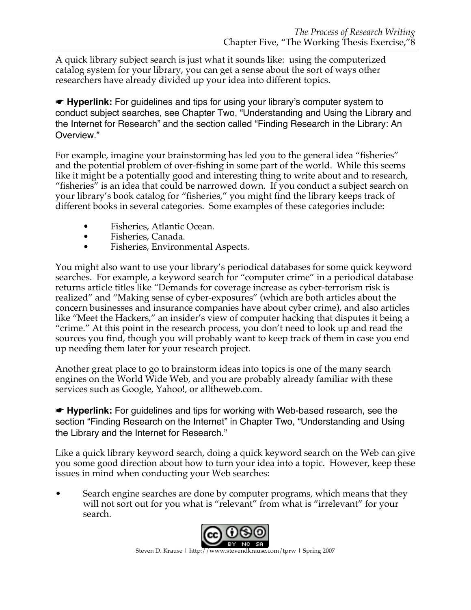A quick library subject search is just what it sounds like: using the computerized catalog system for your library, you can get a sense about the sort of ways other researchers have already divided up your idea into different topics.

☛ **Hyperlink:** For guidelines and tips for using your library's computer system to conduct subject searches, see Chapter Two, "Understanding and Using the Library and the Internet for Research" and the section called "Finding Research in the Library: An Overview."

For example, imagine your brainstorming has led you to the general idea "fisheries" and the potential problem of over-fishing in some part of the world. While this seems like it might be a potentially good and interesting thing to write about and to research, "fisheries" is an idea that could be narrowed down. If you conduct a subject search on your library's book catalog for "fisheries," you might find the library keeps track of different books in several categories. Some examples of these categories include:

- Fisheries, Atlantic Ocean.
- Fisheries, Canada.
- Fisheries, Environmental Aspects.

You might also want to use your library's periodical databases for some quick keyword searches. For example, a keyword search for "computer crime" in a periodical database returns article titles like "Demands for coverage increase as cyber-terrorism risk is realized" and "Making sense of cyber-exposures" (which are both articles about the concern businesses and insurance companies have about cyber crime), and also articles like "Meet the Hackers," an insider's view of computer hacking that disputes it being a "crime." At this point in the research process, you don't need to look up and read the sources you find, though you will probably want to keep track of them in case you end up needing them later for your research project.

Another great place to go to brainstorm ideas into topics is one of the many search engines on the World Wide Web, and you are probably already familiar with these services such as Google, Yahoo!, or alltheweb.com.

☛ **Hyperlink:** For guidelines and tips for working with Web-based research, see the section "Finding Research on the Internet" in Chapter Two, "Understanding and Using the Library and the Internet for Research."

Like a quick library keyword search, doing a quick keyword search on the Web can give you some good direction about how to turn your idea into a topic. However, keep these issues in mind when conducting your Web searches:

• Search engine searches are done by computer programs, which means that they will not sort out for you what is "relevant" from what is "irrelevant" for your search.

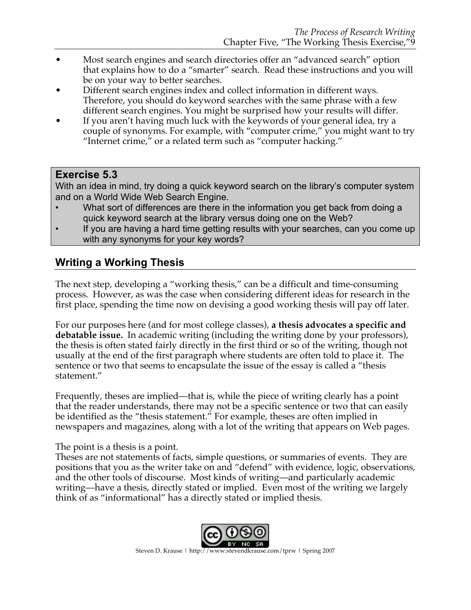- Most search engines and search directories offer an "advanced search" option that explains how to do a "smarter" search. Read these instructions and you will be on your way to better searches.
- Different search engines index and collect information in different ways. Therefore, you should do keyword searches with the same phrase with a few different search engines. You might be surprised how your results will differ.
- If you aren't having much luck with the keywords of your general idea, try a couple of synonyms. For example, with "computer crime," you might want to try "Internet crime," or a related term such as "computer hacking."

## **Exercise 5.3**

With an idea in mind, try doing a quick keyword search on the library's computer system and on a World Wide Web Search Engine.

- What sort of differences are there in the information you get back from doing a quick keyword search at the library versus doing one on the Web?
- If you are having a hard time getting results with your searches, can you come up with any synonyms for your key words?

# **Writing a Working Thesis**

The next step, developing a "working thesis," can be a difficult and time-consuming process. However, as was the case when considering different ideas for research in the first place, spending the time now on devising a good working thesis will pay off later.

For our purposes here (and for most college classes), **a thesis advocates a specific and debatable issue.** In academic writing (including the writing done by your professors), the thesis is often stated fairly directly in the first third or so of the writing, though not usually at the end of the first paragraph where students are often told to place it. The sentence or two that seems to encapsulate the issue of the essay is called a "thesis statement."

Frequently, theses are implied—that is, while the piece of writing clearly has a point that the reader understands, there may not be a specific sentence or two that can easily be identified as the "thesis statement." For example, theses are often implied in newspapers and magazines, along with a lot of the writing that appears on Web pages.

The point is a thesis is a point.

Theses are not statements of facts, simple questions, or summaries of events. They are positions that you as the writer take on and "defend" with evidence, logic, observations, and the other tools of discourse. Most kinds of writing—and particularly academic writing—have a thesis, directly stated or implied. Even most of the writing we largely think of as "informational" has a directly stated or implied thesis.

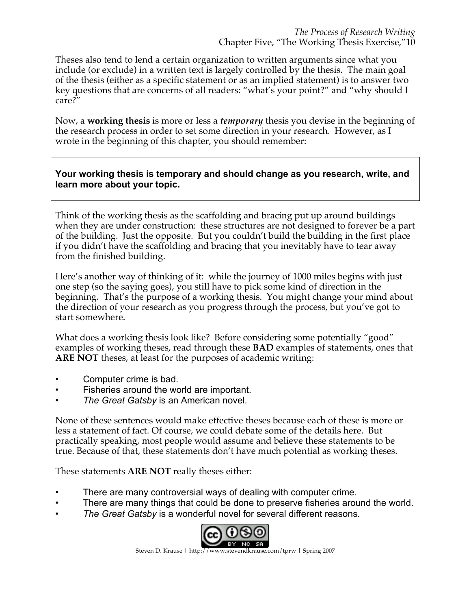Theses also tend to lend a certain organization to written arguments since what you include (or exclude) in a written text is largely controlled by the thesis. The main goal of the thesis (either as a specific statement or as an implied statement) is to answer two key questions that are concerns of all readers: "what's your point?" and "why should I care?"

Now, a **working thesis** is more or less a *temporary* thesis you devise in the beginning of the research process in order to set some direction in your research. However, as I wrote in the beginning of this chapter, you should remember:

#### **Your working thesis is temporary and should change as you research, write, and learn more about your topic.**

Think of the working thesis as the scaffolding and bracing put up around buildings when they are under construction: these structures are not designed to forever be a part of the building. Just the opposite. But you couldn't build the building in the first place if you didn't have the scaffolding and bracing that you inevitably have to tear away from the finished building.

Here's another way of thinking of it: while the journey of 1000 miles begins with just one step (so the saying goes), you still have to pick some kind of direction in the beginning. That's the purpose of a working thesis. You might change your mind about the direction of your research as you progress through the process, but you've got to start somewhere.

What does a working thesis look like? Before considering some potentially "good" examples of working theses, read through these **BAD** examples of statements, ones that **ARE NOT** theses, at least for the purposes of academic writing:

- Computer crime is bad.
- Fisheries around the world are important.
- *The Great Gatsby* is an American novel.

None of these sentences would make effective theses because each of these is more or less a statement of fact. Of course, we could debate some of the details here. But practically speaking, most people would assume and believe these statements to be true. Because of that, these statements don't have much potential as working theses.

These statements **ARE NOT** really theses either:

- There are many controversial ways of dealing with computer crime.
- There are many things that could be done to preserve fisheries around the world.
- *The Great Gatsby* is a wonderful novel for several different reasons.

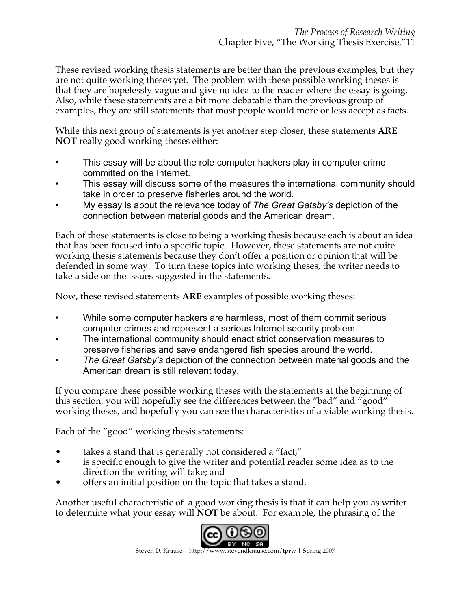These revised working thesis statements are better than the previous examples, but they are not quite working theses yet. The problem with these possible working theses is that they are hopelessly vague and give no idea to the reader where the essay is going. Also, while these statements are a bit more debatable than the previous group of examples, they are still statements that most people would more or less accept as facts.

While this next group of statements is yet another step closer, these statements **ARE NOT** really good working theses either:

- This essay will be about the role computer hackers play in computer crime committed on the Internet.
- This essay will discuss some of the measures the international community should take in order to preserve fisheries around the world.
- My essay is about the relevance today of *The Great Gatsby's* depiction of the connection between material goods and the American dream.

Each of these statements is close to being a working thesis because each is about an idea that has been focused into a specific topic. However, these statements are not quite working thesis statements because they don't offer a position or opinion that will be defended in some way. To turn these topics into working theses, the writer needs to take a side on the issues suggested in the statements.

Now, these revised statements **ARE** examples of possible working theses:

- While some computer hackers are harmless, most of them commit serious computer crimes and represent a serious Internet security problem.
- The international community should enact strict conservation measures to preserve fisheries and save endangered fish species around the world.
- *The Great Gatsby's* depiction of the connection between material goods and the American dream is still relevant today.

If you compare these possible working theses with the statements at the beginning of this section, you will hopefully see the differences between the "bad" and "good" working theses, and hopefully you can see the characteristics of a viable working thesis.

Each of the "good" working thesis statements:

- takes a stand that is generally not considered a "fact;"
- is specific enough to give the writer and potential reader some idea as to the direction the writing will take; and
- offers an initial position on the topic that takes a stand.

Another useful characteristic of a good working thesis is that it can help you as writer to determine what your essay will **NOT** be about. For example, the phrasing of the

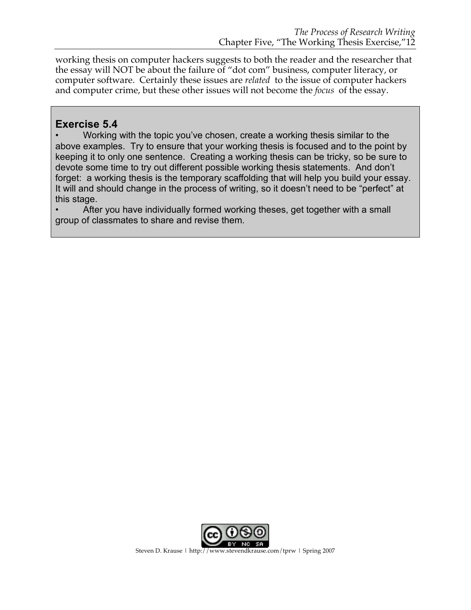working thesis on computer hackers suggests to both the reader and the researcher that the essay will NOT be about the failure of "dot com" business, computer literacy, or computer software. Certainly these issues are *related* to the issue of computer hackers and computer crime, but these other issues will not become the *focus* of the essay.

## **Exercise 5.4**

• Working with the topic you've chosen, create a working thesis similar to the above examples. Try to ensure that your working thesis is focused and to the point by keeping it to only one sentence. Creating a working thesis can be tricky, so be sure to devote some time to try out different possible working thesis statements. And don't forget: a working thesis is the temporary scaffolding that will help you build your essay. It will and should change in the process of writing, so it doesn't need to be "perfect" at this stage.

• After you have individually formed working theses, get together with a small group of classmates to share and revise them.

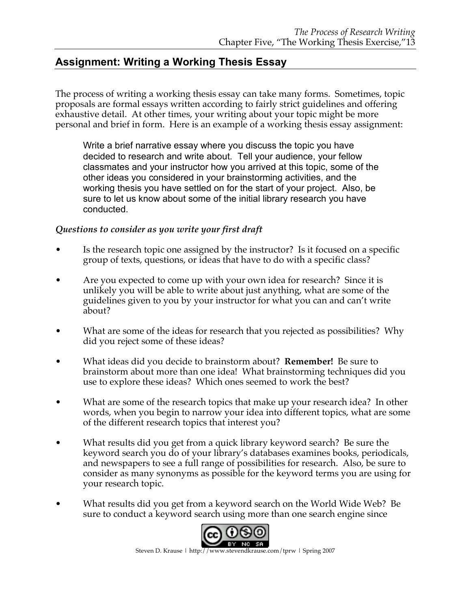## **Assignment: Writing a Working Thesis Essay**

The process of writing a working thesis essay can take many forms. Sometimes, topic proposals are formal essays written according to fairly strict guidelines and offering exhaustive detail. At other times, your writing about your topic might be more personal and brief in form. Here is an example of a working thesis essay assignment:

Write a brief narrative essay where you discuss the topic you have decided to research and write about. Tell your audience, your fellow classmates and your instructor how you arrived at this topic, some of the other ideas you considered in your brainstorming activities, and the working thesis you have settled on for the start of your project. Also, be sure to let us know about some of the initial library research you have conducted.

#### *Questions to consider as you write your first draft*

- Is the research topic one assigned by the instructor? Is it focused on a specific group of texts, questions, or ideas that have to do with a specific class?
- Are you expected to come up with your own idea for research? Since it is unlikely you will be able to write about just anything, what are some of the guidelines given to you by your instructor for what you can and can't write about?
- What are some of the ideas for research that you rejected as possibilities? Why did you reject some of these ideas?
- What ideas did you decide to brainstorm about? **Remember!** Be sure to brainstorm about more than one idea! What brainstorming techniques did you use to explore these ideas? Which ones seemed to work the best?
- What are some of the research topics that make up your research idea? In other words, when you begin to narrow your idea into different topics, what are some of the different research topics that interest you?
- What results did you get from a quick library keyword search? Be sure the keyword search you do of your library's databases examines books, periodicals, and newspapers to see a full range of possibilities for research. Also, be sure to consider as many synonyms as possible for the keyword terms you are using for your research topic.
- What results did you get from a keyword search on the World Wide Web? Be sure to conduct a keyword search using more than one search engine since

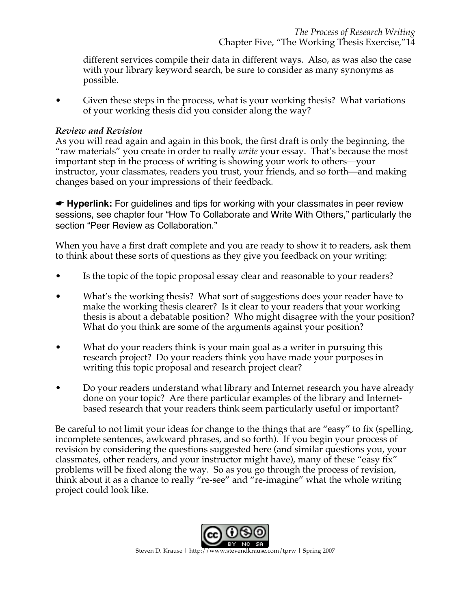different services compile their data in different ways. Also, as was also the case with your library keyword search, be sure to consider as many synonyms as possible.

• Given these steps in the process, what is your working thesis? What variations of your working thesis did you consider along the way?

#### *Review and Revision*

As you will read again and again in this book, the first draft is only the beginning, the "raw materials" you create in order to really *write* your essay. That's because the most important step in the process of writing is showing your work to others—your instructor, your classmates, readers you trust, your friends, and so forth—and making changes based on your impressions of their feedback.

**■ Hyperlink:** For guidelines and tips for working with your classmates in peer review sessions, see chapter four "How To Collaborate and Write With Others," particularly the section "Peer Review as Collaboration."

When you have a first draft complete and you are ready to show it to readers, ask them to think about these sorts of questions as they give you feedback on your writing:

- Is the topic of the topic proposal essay clear and reasonable to your readers?
- What's the working thesis? What sort of suggestions does your reader have to make the working thesis clearer? Is it clear to your readers that your working thesis is about a debatable position? Who might disagree with the your position? What do you think are some of the arguments against your position?
- What do your readers think is your main goal as a writer in pursuing this research project? Do your readers think you have made your purposes in writing this topic proposal and research project clear?
- Do your readers understand what library and Internet research you have already done on your topic? Are there particular examples of the library and Internetbased research that your readers think seem particularly useful or important?

Be careful to not limit your ideas for change to the things that are "easy" to fix (spelling, incomplete sentences, awkward phrases, and so forth). If you begin your process of revision by considering the questions suggested here (and similar questions you, your classmates, other readers, and your instructor might have), many of these "easy fix" problems will be fixed along the way. So as you go through the process of revision, think about it as a chance to really "re-see" and "re-imagine" what the whole writing project could look like.

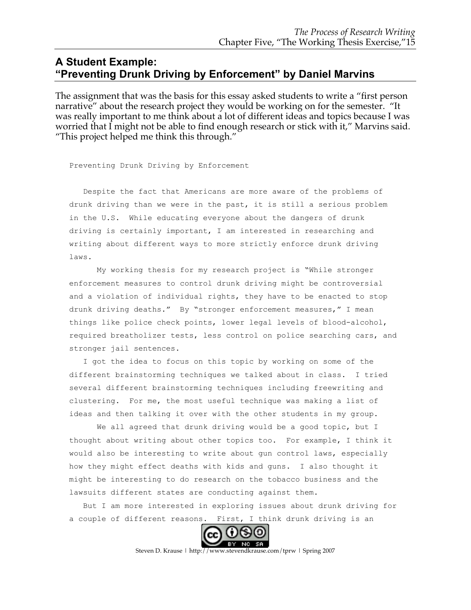## **A Student Example: "Preventing Drunk Driving by Enforcement" by Daniel Marvins**

The assignment that was the basis for this essay asked students to write a "first person narrative" about the research project they would be working on for the semester. "It was really important to me think about a lot of different ideas and topics because I was worried that I might not be able to find enough research or stick with it," Marvins said. "This project helped me think this through."

Preventing Drunk Driving by Enforcement

Despite the fact that Americans are more aware of the problems of drunk driving than we were in the past, it is still a serious problem in the U.S. While educating everyone about the dangers of drunk driving is certainly important, I am interested in researching and writing about different ways to more strictly enforce drunk driving laws.

My working thesis for my research project is "While stronger enforcement measures to control drunk driving might be controversial and a violation of individual rights, they have to be enacted to stop drunk driving deaths." By "stronger enforcement measures," I mean things like police check points, lower legal levels of blood-alcohol, required breatholizer tests, less control on police searching cars, and stronger jail sentences.

I got the idea to focus on this topic by working on some of the different brainstorming techniques we talked about in class. I tried several different brainstorming techniques including freewriting and clustering. For me, the most useful technique was making a list of ideas and then talking it over with the other students in my group.

We all agreed that drunk driving would be a good topic, but I thought about writing about other topics too. For example, I think it would also be interesting to write about gun control laws, especially how they might effect deaths with kids and guns. I also thought it might be interesting to do research on the tobacco business and the lawsuits different states are conducting against them.

But I am more interested in exploring issues about drunk driving for a couple of different reasons. First, I think drunk driving is an